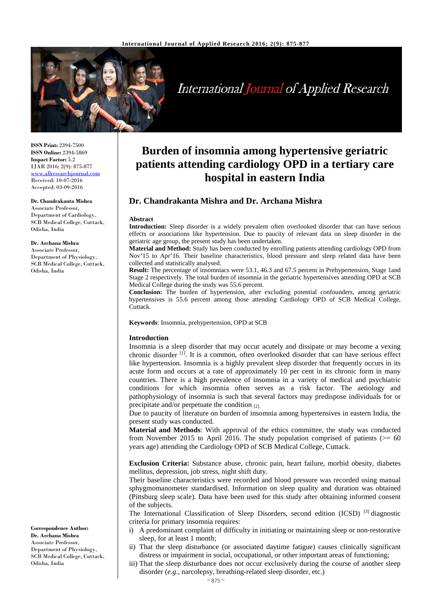

# **International Journal of Applied Research**

**ISSN Print:** 2394-7500 **ISSN Online:** 2394-5869 **Impact Factor:** 5.2 IJAR 2016; 2(9): 875-877 www.allresearchjournal.com Received: 10-07-2016 Accepted: 03-09-2016

## **Dr. Chandrakanta Mishra**

Associate Professor, Department of Cardiology, SCB Medical College, Cuttack, Odisha, India

# **Dr. Archana Mishra**

Associate Professor, Department of Physiology, SCB Medical College, Cuttack, Odisha, India

**Burden of insomnia among hypertensive geriatric patients attending cardiology OPD in a tertiary care hospital in eastern India**

# **Dr. Chandrakanta Mishra and Dr. Archana Mishra**

#### **Abstract**

**Introduction:** Sleep disorder is a widely prevalent often overlooked disorder that can have serious effects or associations like hypertension. Due to paucity of relevant data on sleep disorder in the geriatric age group, the present study has been undertaken.

**Material and Method:** Study has been conducted by enrolling patients attending cardiology OPD from Nov'15 to Apr'16. Their baseline characteristics, blood pressure and sleep related data have been collected and statistically analysed.

**Result:** The percentage of insomniacs were 53.1, 46.3 and 67.5 percent in Prehypertension, Stage 1and Stage 2 respectively. The total burden of insomnia in the geriatric hypertensives attending OPD at SCB Medical College during the study was 55.6 percent.

**Conclusion:** The burden of hypertension, after excluding potential confounders, among geriatric hypertensives is 55.6 percent among those attending Cardiology OPD of SCB Medical College, Cuttack.

**Keywords**: Insomnia, prehypertension, OPD at SCB

# **Introduction**

Insomnia is a sleep disorder that may occur acutely and dissipate or may become a vexing chronic disorder  $\left[1\right]$ . It is a common, often overlooked disorder that can have serious effect like hypertension. Insomnia is a highly prevalent sleep disorder that frequently occurs in its acute form and occurs at a rate of approximately 10 per cent in its chronic form in many countries. There is a high prevalence of insomnia in a variety of medical and psychiatric conditions for which insomnia often serves as a risk factor. The aetiology and pathophysiology of insomnia is such that several factors may predispose individuals for or precipitate and/or perpetuate the condition [2].

Due to paucity of literature on burden of insomnia among hypertensives in eastern India, the present study was conducted.

**Material and Methods**: With approval of the ethics committee, the study was conducted from November 2015 to April 2016. The study population comprised of patients ( $> = 60$ years age) attending the Cardiology OPD of SCB Medical College, Cuttack.

**Exclusion Criteria:** Substance abuse, chronic pain, heart failure, morbid obesity, diabetes mellitus, depression, job stress, night shift duty.

Their baseline characteristics were recorded and blood pressure was recorded using manual sphygmomanometer standardised. Information on sleep quality and duration was obtained (Pittsburg sleep scale). Data have been used for this study after obtaining informed consent of the subjects.

The International Classification of Sleep Disorders, second edition (ICSD)<sup>[3]</sup> diagnostic criteria for primary insomnia requires:

- i) A predominant complaint of difficulty in initiating or maintaining sleep or non-restorative sleep, for at least 1 month;
- ii) That the sleep disturbance (or associated daytime fatigue) causes clinically significant distress or impairment in social, occupational, or other important areas of functioning;
- iii) That the sleep disturbance does not occur exclusively during the course of another sleep disorder (*e.g*., narcolepsy, breathing-related sleep disorder, etc.)

**Correspondence Author: Dr. Archana Mishra** Associate Professor, Department of Physiology, SCB Medical College, Cuttack, Odisha, India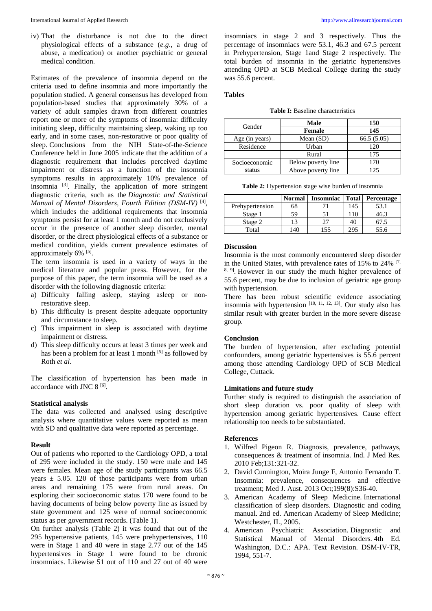iv) That the disturbance is not due to the direct physiological effects of a substance (*e.g*., a drug of abuse, a medication) or another psychiatric or general medical condition.

Estimates of the prevalence of insomnia depend on the criteria used to define insomnia and more importantly the population studied. A general consensus has developed from population-based studies that approximately 30% of a variety of adult samples drawn from different countries report one or more of the symptoms of insomnia: difficulty initiating sleep, difficulty maintaining sleep, waking up too early, and in some cases, non-restorative or poor quality of sleep. Conclusions from the NIH State-of-the-Science Conference held in June 2005 indicate that the addition of a diagnostic requirement that includes perceived daytime impairment or distress as a function of the insomnia symptoms results in approximately 10% prevalence of insomnia [3]. Finally, the application of more stringent diagnostic criteria, such as the *Diagnostic and Statistical Manual of Mental Disorders, Fourth Edition (DSM-IV)* [4], which includes the additional requirements that insomnia symptoms persist for at least 1 month and do not exclusively occur in the presence of another sleep disorder, mental disorder, or the direct physiological effects of a substance or medical condition, yields current prevalence estimates of approximately  $6\%$ <sup>[5]</sup>.

The term insomnia is used in a variety of ways in the medical literature and popular press. However, for the purpose of this paper, the term insomnia will be used as a disorder with the following diagnostic criteria:

- a) Difficulty falling asleep, staying asleep or nonrestorative sleep.
- b) This difficulty is present despite adequate opportunity and circumstance to sleep.
- c) This impairment in sleep is associated with daytime impairment or distress.
- d) This sleep difficulty occurs at least 3 times per week and has been a problem for at least 1 month <sup>[5]</sup> as followed by Roth *et al*.

The classification of hypertension has been made in accordance with JNC  $8^{[6]}$ .

# **Statistical analysis**

The data was collected and analysed using descriptive analysis where quantitative values were reported as mean with SD and qualitative data were reported as percentage.

#### **Result**

Out of patients who reported to the Cardiology OPD, a total of 295 were included in the study. 150 were male and 145 were females. Mean age of the study participants was 66.5 years  $\pm$  5.05. 120 of those participants were from urban areas and remaining 175 were from rural areas. On exploring their socioeconomic status 170 were found to be having documents of being below poverty line as issued by state government and 125 were of normal socioeconomic status as per government records. (Table 1).

On further analysis (Table 2) it was found that out of the 295 hypertensive patients, 145 were prehypertensives, 110 were in Stage 1 and 40 were in stage 2.77 out of the 145 hypertensives in Stage 1 were found to be chronic insomniacs. Likewise 51 out of 110 and 27 out of 40 were

insomniacs in stage 2 and 3 respectively. Thus the percentage of insomniacs were 53.1, 46.3 and 67.5 percent in Prehypertension, Stage 1and Stage 2 respectively. The total burden of insomnia in the geriatric hypertensives attending OPD at SCB Medical College during the study was 55.6 percent.

# **Tables**

**Table I:** Baseline characteristics

| Gender         | Male               | 150        |  |
|----------------|--------------------|------------|--|
|                | Female             | 145        |  |
| Age (in years) | Mean $(SD)$        | 66.5(5.05) |  |
| Residence      | Urban              | 120        |  |
|                | Rural              | 175        |  |
| Socioeconomic  | Below poverty line | 170        |  |
| status         | Above poverty line | 125        |  |

| Table 2: Hypertension stage wise burden of insomnia |  |  |
|-----------------------------------------------------|--|--|

|                 | <b>Normal</b> | <b>Insomniac</b> | <b>Total</b> | Percentage |
|-----------------|---------------|------------------|--------------|------------|
| Prehypertension | 68            |                  | 145          | 53.1       |
| Stage 1         | 59            |                  | 10           | 46.3       |
| Stage 2         |               | רי               | 40           |            |
| Total           | l 40          | .55              | 295          | 55.6       |

### **Discussion**

Insomnia is the most commonly encountered sleep disorder in the United States, with prevalence rates of  $15\%$  to  $24\%$  <sup>[7,</sup> <sup>8, 9]</sup>. However in our study the much higher prevalence of 55.6 percent, may be due to inclusion of geriatric age group with hypertension.

There has been robust scientific evidence associating insomnia with hypertension  $[10, 11, 12, 13]$ . Our study also has similar result with greater burden in the more severe disease group.

# **Conclusion**

The burden of hypertension, after excluding potential confounders, among geriatric hypertensives is 55.6 percent among those attending Cardiology OPD of SCB Medical College, Cuttack.

# **Limitations and future study**

Further study is required to distinguish the association of short sleep duration vs. poor quality of sleep with hypertension among geriatric hypertensives. Cause effect relationship too needs to be substantiated.

# **References**

- 1. Wilfred Pigeon R. Diagnosis, prevalence, pathways, consequences & treatment of insomnia. Ind. J Med Res. 2010 Feb;131:321-32.
- 2. David Cunnington, Moira Junge F, Antonio Fernando T. Insomnia: prevalence, consequences and effective treatment; Med J. Aust. 2013 Oct;199(8):S36-40.
- 3. American Academy of Sleep Medicine. International classification of sleep disorders. Diagnostic and coding manual. 2nd ed. American Academy of Sleep Medicine; Westchester, IL, 2005.
- 4. American Psychiatric Association. Diagnostic and Statistical Manual of Mental Disorders. 4th Ed. Washington, D.C.: APA. Text Revision. DSM-IV-TR, 1994, 551-7.